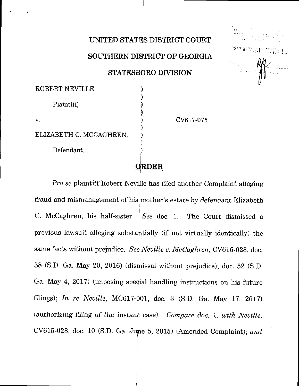UNITED STATES DISTRICT COURT

[Neville v. McCaghr](https://dockets.justia.com/docket/georgia/gasdce/6:2017cv00075/71898/)en [Doc. 7](https://docs.justia.com/cases/federal/district-courts/georgia/gasdce/6:2017cv00075/71898/7/) (1991). The contract of the contract of the contract of the contract of the contract of the contract of the contract of the contract of the contract of the contract of the contract of the contra

i! l

"" " ER 23 19 19 15

**Mary Mary** 

[Dockets.Justia.co](https://dockets.justia.com/)m

SOUTHERN DISTRICT OF GEORGIA

STATESBORO DTYISION

| ROBERT NEVILLE,         |             |           |
|-------------------------|-------------|-----------|
| Plaintiff,              |             |           |
| v.                      |             | CV617-075 |
| ELIZABETH C. MCCAGHREN, |             |           |
| Defendant.              |             |           |
|                         | <b>RDER</b> |           |

Pro se plaintiff Robert Neville has filed another Complaint alleging fraud and mismanagement of his mother's estate by defendant Elizabeth C. McCaghren, his half-sister. See doc. 1. The Court dismissed a previous lawsuit alleging substantially (if not virtually identically) the same facts without prejudice. See Neville v. McCaghren, CV615-028, doc. 38 (S.D. Ga. May 20,2016) (disurissal without prejudice); doc. 52 (S.D. Ga. May 4,2017) (imposing special handling instructions on his future filings); In re Neuille, MC6L7-001, doc. 3 (S.D. Ga. May 17,2017) (authorizing filing of the instant case). Compare doc. 1, with Neville, CV615-028, doc. 10 (S.D. Ga. June 5, 2015) (Amended Complaint); and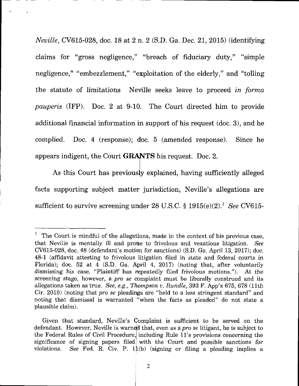Neville, CV615-028, doc. 18 at 2 n. 2 (S.D. Ga. Dec. 21, 2015) (identifying claims for "gross negligence," "breach of fiduciary duty," "simple negligence," "embezzlement," "exploitation of the elderly," and "tolling the statute of limitations Neville seeks leave to proceed in forma pauperis (IFP). Doc. 2 at 9-10. The Court directed him to provide additional financial information in support of his request (doc. 3), and he complied. Doc. 4 (response); doc. 5 (amended response). Since he appears indigent, the Court **GRANTS** his request. Doc. 2.

As this Court has previously explained, having sufficiently alleged facts supporting subject matter jurisdiction, Neville's allegations are sufficient to survive screening under 28 U.S.C.  $\S 1915(e)(2).$ <sup>1</sup> See CV615-

 $1$  The Court is mindful of the allegations, made in the context of his previous case, that Neville is mentally ill and prone to frivolous and vexatious litigation. See CV615-028, doc. 48 (defendant's motion for sanctions) (S.D. Ga. April 13, 2077); doc. 48-1 (afftdavit attesting to frivolous litigation filed in state and federal courts in Florida); doc. 52 at 4 (S.D. Ga. April 4, 2017) (noting that, after voluntarily dismissing his case, "Plaintiff has repeatedly filed frivolous motions."). At the screening stage, however, a *pro se* complaint must be liberally construed and its allegations taken as true. See, e.g., Thompson v. Rundle,  $393$  F. App'x 675, 678 (11th) Cir. 2010) (noting that pro se pleadings are "held to a less stringent standard" and noting that dismissal is warranted "when the facts as pleaded" do not state a plausible claim).

Given that standard, Neville's Complaint is sufficient to be served on the defendant. However, Neville is warned that, even as a *pro se* litigant, he is subject to the Federal Rules of Civil Procedure, including Rule 11's provisions concerning the significance of signing papers filed with the Court and possible sanctions for violations. See Fed. R. Civ. P.  $1\sharp$ (b) (signing or filing a pleading implies a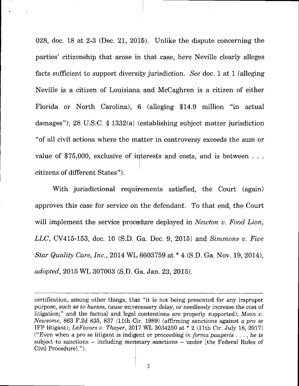028, doc. 18 at 2-3 (Dec. 21, 2015). Unlike the dispute concerning the parties' citizenship that arose in that case, here Neville clearly alleges facts sufficient to support diversity jurisdiction. See doc. 1 at 1 (alleging Neville is a citizen of Louisiana and McCaghren is a citizen of either Florida or North Carolina), 6 (alleging \$14.9 million "in actual damages"); 28 U.S.C. \$ 1332(a) (establishing subject matter jurisdiction "of all civil actions where the matter in controversy exceeds the sum or value of  $$75,000$ , exclusive of interests and costs, and is between ... citizens of different States").

With jurisdictional requirements satisfied, the Court (again) approves this case for service on the defendant. To that end, the Court will implement the service procedure deployed in Newton v. Food Lion, *LLC*, CV415-153, doc. 10 (S.D. Ga. Dec. 9, 2015) and *Simmons v. Five* Star Quality Care, Inc., 2014 WL 6603759 at \* 4 (S.D. Ga. Nov. 19, 2014), adopted,2015 WL 307003 (S.D. Ga. Jan.23,2015).

certification, among other things, that "it is not being presented for any improper purpose, such as to harass, cause unnecessary delay, or needlessly increase the cost of litigation;" and the factual and legal contentions are properly supported); Moon  $v$ . Newsorne,863 F.zd 835, 837 (11th Cir. 1989) (affrrming sanctions against a pro se IFP litigant); LaFavors v. Thayer,  $2017$  WL 3034250 at  $*$  2 (11th Cir. July 18, 2017) ("Even when a pro se litigant is indigent or proceeding in forma pauperis ..., he is subject to sanctions -- including morietary sanctions -- under [the Federal Rules of Civil Procedurel.").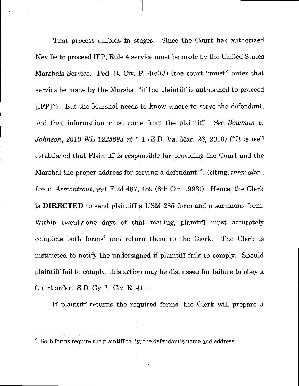That process unfolds in stages. Since the Court has authorized Neville to proceed IFP, Rule 4 service must be made by the United States Marshals Service. Fed. R. Civ. P. 4(c)(3) (the court "must" order that service be made by the Marshal "if the plaintiff is authorized to proceed [IFP]"). But the Marshal needs to know where to serve the defendant, and that information must come from the plaintiff. See Bowman u. Johnson, 2010 WL 1225693 at \* 1 (E.D. Va. Mar. 26, 2010) ("It is well established that Plaintiff is respqnsible for providing the Court and the Marshal the proper address for serving a defendant.") (citing, *inter alia.*, Lee v. Armontrout, 991 F.2d 487, 489 (8th Cir. 1993)). Hence, the Clerk is DIRECTED to send plaintiff a USM 285 form and a summons form. Within twenty-one days of that mailing, plaintiff must accurately complete both forms<sup>2</sup> and return them to the Clerk. The Clerk is instructed to notify the undersigned if plaintiff fails to comply. Should plaintiff fail to comply, this action may be dismissed for failure to obey a Court order. S.D. Ga. L. Civ. R, 41,1.

If plaintiff returns the required forms, the Clerk will prepare a

 $\frac{2}{3}$  Both forms require the plaintiff to list the defendant's name and address.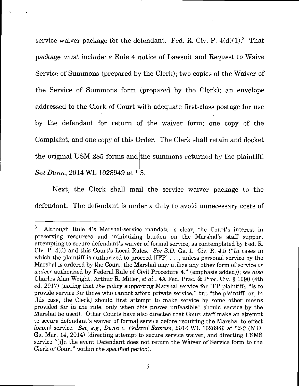service waiver package for the defendant. Fed. R. Civ. P.  $4(d)(1)^3$  That package must include: a Rule 4 notice of Lawsuit and Request to Waive Service of Summons (prepared by the Clerk); two copies of the Waiver of the Service of Summons form (prepared by the Clerk); an envelope addressed to the Clerk of Court with adequate first-class postage for use by the defendant for return of the waiver form; one copy of the Complaint, and one copy of this Order. The Clerk shall retain and docket the original USM 285 forms and the summons returned by the plaintiff. See Dunn,20I4WL 1028949 at \* 3.

Next, the Clerk shall mail the service waiver package to the defendant. The defendant is under a duty to avoid unnecessary costs of

<sup>&</sup>lt;sup>3</sup> Although Rule 4's Marshal-service mandate is clear, the Court's interest in preserving resources and minimizing burden on the Marshal's staff support attempting to secure defendant's waiver of formal service, as contemplated by Fed. R. Civ. P. 4(d) and this Court's Locai Rules. See S.D. Ga. L. Civ. R.4.5 ("In cases in which the plaintiff is authorized to proceed  $[IFP]$  .  $\ldots$  unless personal service by the Marshal is ordered by the Court, the Marshal may utilize any other form of service or waiver authorized by Federal Rule of Civil Procedure 4." (emphasis added)); see also Charles Alan Wright, Arthur R. Miller, et al., 4A Fed. Prac. & Proc. Civ. § 1090 (4th ed. 2017) (noting that the policy supporting Marshal service for IFP plaintiffs "is to provide serwice for those who cannot afford private service," but "the plaintiff [or, in this case, the Clerkl should first attempt to make service by some other means provided for in the rule; only when this proves unfeasible" should service by the Marshal be used). Other Courts have also directed that Court staff make an attempt to secure defendant's waiver of formal service before requiring the Marshal to effect formal service. See, e.g., Dunn v. Federal Express, 2014 WL 1028949 at  $*2-3$  (N.D. Ga. Mar. 14, 2014) (directing attempt to secure service waiver, and directing USMS service "[i]n the event Defendant does not return the Waiver of Service form to the Clerk of Court" within the specified period).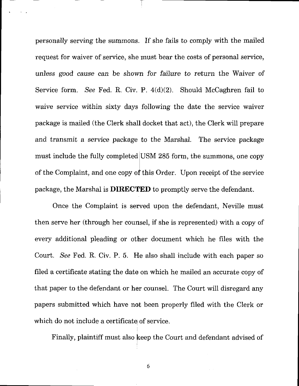personally serving the summons. If she fails to comply with the mailed request for waiver of service, she must bear the costs of personal service, unless good cause can be shown for failure to return the Waiver of Service form. See Fed. R. Civ. P. 4(d)(2). Should McCaghren fail to waive service within sixty days following the date the service waiver package is mailed (the Clerk shall docket that act), the Clerk will prepare and transmit a service package to the Marshal. The service package must include the fully completed USM 285 form, the summons, one copy of the Complaint, and one copy of this Order. Upon receipt of the service package, the Marshal is **DIRECTED** to promptly serve the defendant.

I

Once the Complaint is served upon the defendant, Neville must then serve her (through her counsel, if she is represented) with a copy of every additional pleading or other document which he files with the Court. See Fed. R, Civ. P. 5. He also shall include with each paper so filed a certificate stating the date on which he mailed an accurate copy of that paper to the defendant or her counsel. The Court will disregard any papers submitted which have not been properly filed with the Clerk or which do not include a certificate of service.

Finally, plaintiff must also keep the Court and defendant advised of

6